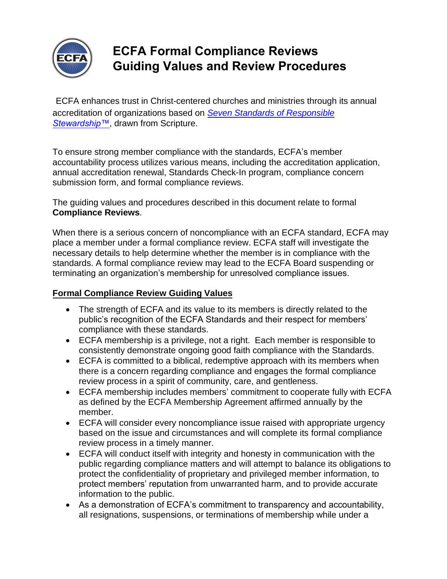

## **ECFA Formal Compliance Reviews Guiding Values and Review Procedures**

ECFA enhances trust in Christ-centered churches and ministries through its annual accreditation of organizations based on *[Seven Standards of Responsible](https://www.ecfa.org/Standards.aspx) [Stewardship™](https://www.ecfa.org/Standards.aspx)*, drawn from Scripture.

To ensure strong member compliance with the standards, ECFA's member accountability process utilizes various means, including the accreditation application, annual accreditation renewal, Standards Check-In program, compliance concern submission form, and formal compliance reviews.

The guiding values and procedures described in this document relate to formal **Compliance Reviews**.

When there is a serious concern of noncompliance with an ECFA standard, ECFA may place a member under a formal compliance review. ECFA staff will investigate the necessary details to help determine whether the member is in compliance with the standards. A formal compliance review may lead to the ECFA Board suspending or terminating an organization's membership for unresolved compliance issues.

## **Formal Compliance Review Guiding Values**

- The strength of ECFA and its value to its members is directly related to the public's recognition of the ECFA Standards and their respect for members' compliance with these standards.
- ECFA membership is a privilege, not a right. Each member is responsible to consistently demonstrate ongoing good faith compliance with the Standards.
- ECFA is committed to a biblical, redemptive approach with its members when there is a concern regarding compliance and engages the formal compliance review process in a spirit of community, care, and gentleness.
- ECFA membership includes members' commitment to cooperate fully with ECFA as defined by the ECFA Membership Agreement affirmed annually by the member.
- ECFA will consider every noncompliance issue raised with appropriate urgency based on the issue and circumstances and will complete its formal compliance review process in a timely manner.
- ECFA will conduct itself with integrity and honesty in communication with the public regarding compliance matters and will attempt to balance its obligations to protect the confidentiality of proprietary and privileged member information, to protect members' reputation from unwarranted harm, and to provide accurate information to the public.
- As a demonstration of ECFA's commitment to transparency and accountability, all resignations, suspensions, or terminations of membership while under a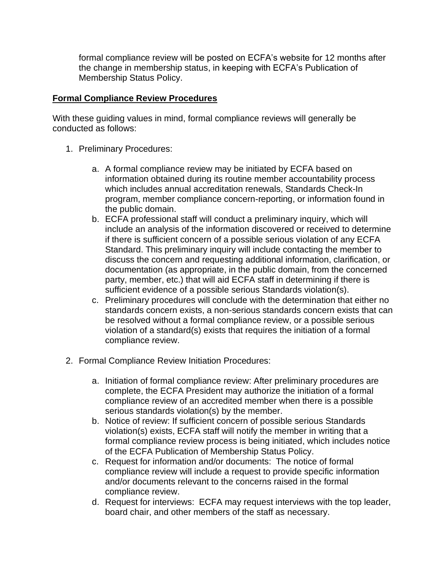formal compliance review will be posted on ECFA's website for 12 months after the change in membership status, in keeping with ECFA's Publication of Membership Status Policy.

## **Formal Compliance Review Procedures**

With these guiding values in mind, formal compliance reviews will generally be conducted as follows:

- 1. Preliminary Procedures:
	- a. A formal compliance review may be initiated by ECFA based on information obtained during its routine member accountability process which includes annual accreditation renewals, Standards Check-In program, member compliance concern-reporting, or information found in the public domain.
	- b. ECFA professional staff will conduct a preliminary inquiry, which will include an analysis of the information discovered or received to determine if there is sufficient concern of a possible serious violation of any ECFA Standard. This preliminary inquiry will include contacting the member to discuss the concern and requesting additional information, clarification, or documentation (as appropriate, in the public domain, from the concerned party, member, etc.) that will aid ECFA staff in determining if there is sufficient evidence of a possible serious Standards violation(s).
	- c. Preliminary procedures will conclude with the determination that either no standards concern exists, a non-serious standards concern exists that can be resolved without a formal compliance review, or a possible serious violation of a standard(s) exists that requires the initiation of a formal compliance review.
- 2. Formal Compliance Review Initiation Procedures:
	- a. Initiation of formal compliance review: After preliminary procedures are complete, the ECFA President may authorize the initiation of a formal compliance review of an accredited member when there is a possible serious standards violation(s) by the member.
	- b. Notice of review: If sufficient concern of possible serious Standards violation(s) exists, ECFA staff will notify the member in writing that a formal compliance review process is being initiated, which includes notice of the ECFA Publication of Membership Status Policy.
	- c. Request for information and/or documents: The notice of formal compliance review will include a request to provide specific information and/or documents relevant to the concerns raised in the formal compliance review.
	- d. Request for interviews: ECFA may request interviews with the top leader, board chair, and other members of the staff as necessary.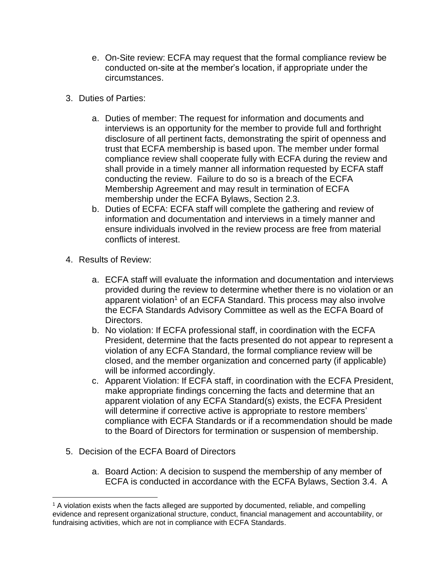- e. On-Site review: ECFA may request that the formal compliance review be conducted on-site at the member's location, if appropriate under the circumstances.
- 3. Duties of Parties:
	- a. Duties of member: The request for information and documents and interviews is an opportunity for the member to provide full and forthright disclosure of all pertinent facts, demonstrating the spirit of openness and trust that ECFA membership is based upon. The member under formal compliance review shall cooperate fully with ECFA during the review and shall provide in a timely manner all information requested by ECFA staff conducting the review. Failure to do so is a breach of the ECFA Membership Agreement and may result in termination of ECFA membership under the ECFA Bylaws, Section 2.3.
	- b. Duties of ECFA: ECFA staff will complete the gathering and review of information and documentation and interviews in a timely manner and ensure individuals involved in the review process are free from material conflicts of interest.
- 4. Results of Review:
	- a. ECFA staff will evaluate the information and documentation and interviews provided during the review to determine whether there is no violation or an apparent violation<sup>1</sup> of an ECFA Standard. This process may also involve the ECFA Standards Advisory Committee as well as the ECFA Board of Directors.
	- b. No violation: If ECFA professional staff, in coordination with the ECFA President, determine that the facts presented do not appear to represent a violation of any ECFA Standard, the formal compliance review will be closed, and the member organization and concerned party (if applicable) will be informed accordingly.
	- c. Apparent Violation: If ECFA staff, in coordination with the ECFA President, make appropriate findings concerning the facts and determine that an apparent violation of any ECFA Standard(s) exists, the ECFA President will determine if corrective active is appropriate to restore members' compliance with ECFA Standards or if a recommendation should be made to the Board of Directors for termination or suspension of membership.
- 5. Decision of the ECFA Board of Directors
	- a. Board Action: A decision to suspend the membership of any member of ECFA is conducted in accordance with the ECFA Bylaws, Section 3.4. A

<sup>&</sup>lt;sup>1</sup> A violation exists when the facts alleged are supported by documented, reliable, and compelling evidence and represent organizational structure, conduct, financial management and accountability, or fundraising activities, which are not in compliance with ECFA Standards.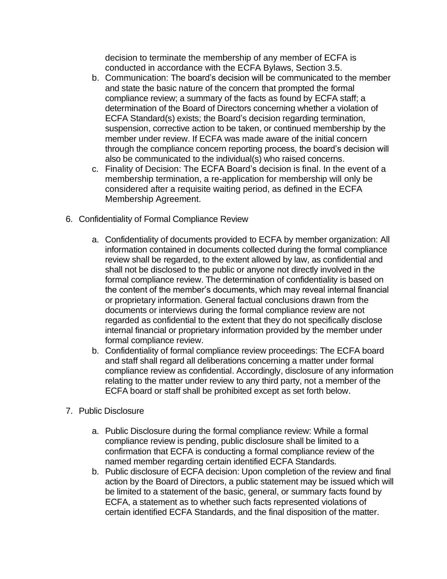decision to terminate the membership of any member of ECFA is conducted in accordance with the ECFA Bylaws, Section 3.5.

- b. Communication: The board's decision will be communicated to the member and state the basic nature of the concern that prompted the formal compliance review; a summary of the facts as found by ECFA staff; a determination of the Board of Directors concerning whether a violation of ECFA Standard(s) exists; the Board's decision regarding termination, suspension, corrective action to be taken, or continued membership by the member under review. If ECFA was made aware of the initial concern through the compliance concern reporting process, the board's decision will also be communicated to the individual(s) who raised concerns.
- c. Finality of Decision: The ECFA Board's decision is final. In the event of a membership termination, a re-application for membership will only be considered after a requisite waiting period, as defined in the ECFA Membership Agreement.
- 6. Confidentiality of Formal Compliance Review
	- a. Confidentiality of documents provided to ECFA by member organization: All information contained in documents collected during the formal compliance review shall be regarded, to the extent allowed by law, as confidential and shall not be disclosed to the public or anyone not directly involved in the formal compliance review. The determination of confidentiality is based on the content of the member's documents, which may reveal internal financial or proprietary information. General factual conclusions drawn from the documents or interviews during the formal compliance review are not regarded as confidential to the extent that they do not specifically disclose internal financial or proprietary information provided by the member under formal compliance review.
	- b. Confidentiality of formal compliance review proceedings: The ECFA board and staff shall regard all deliberations concerning a matter under formal compliance review as confidential. Accordingly, disclosure of any information relating to the matter under review to any third party, not a member of the ECFA board or staff shall be prohibited except as set forth below.
- 7. Public Disclosure
	- a. Public Disclosure during the formal compliance review: While a formal compliance review is pending, public disclosure shall be limited to a confirmation that ECFA is conducting a formal compliance review of the named member regarding certain identified ECFA Standards.
	- b. Public disclosure of ECFA decision: Upon completion of the review and final action by the Board of Directors, a public statement may be issued which will be limited to a statement of the basic, general, or summary facts found by ECFA, a statement as to whether such facts represented violations of certain identified ECFA Standards, and the final disposition of the matter.